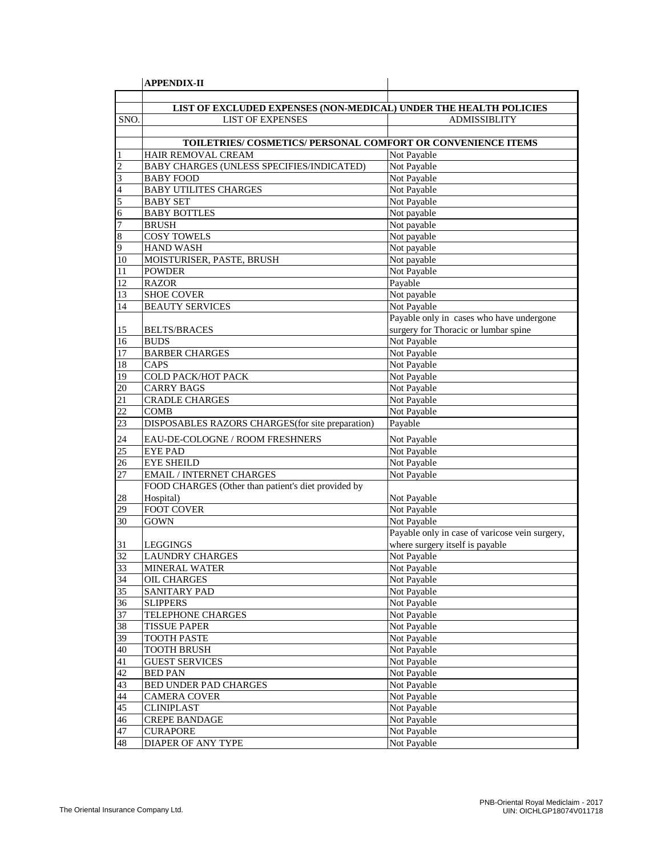|                | <b>APPENDIX-II</b>                                                |                                                |
|----------------|-------------------------------------------------------------------|------------------------------------------------|
|                |                                                                   |                                                |
|                | LIST OF EXCLUDED EXPENSES (NON-MEDICAL) UNDER THE HEALTH POLICIES |                                                |
| SNO.           | <b>LIST OF EXPENSES</b>                                           | <b>ADMISSIBLITY</b>                            |
|                |                                                                   |                                                |
|                | TOILETRIES/ COSMETICS/ PERSONAL COMFORT OR CONVENIENCE ITEMS      |                                                |
|                | HAIR REMOVAL CREAM                                                | Not Payable                                    |
| $\overline{c}$ | BABY CHARGES (UNLESS SPECIFIES/INDICATED)                         | Not Payable                                    |
| 3              | <b>BABY FOOD</b>                                                  | Not Payable                                    |
| 4              | <b>BABY UTILITES CHARGES</b>                                      | Not Payable                                    |
| 5              | <b>BABY SET</b>                                                   | Not Payable                                    |
| 6              | <b>BABY BOTTLES</b>                                               | Not payable                                    |
| 7              | <b>BRUSH</b>                                                      | Not payable                                    |
| 8              | <b>COSY TOWELS</b>                                                | Not payable                                    |
| 9              | <b>HAND WASH</b>                                                  | Not payable                                    |
| 10             | MOISTURISER, PASTE, BRUSH                                         | Not payable                                    |
| 11             | <b>POWDER</b>                                                     | Not Payable                                    |
| 12             | <b>RAZOR</b>                                                      | Payable                                        |
| 13             | <b>SHOE COVER</b>                                                 | Not payable                                    |
| 14             | <b>BEAUTY SERVICES</b>                                            | Not Payable                                    |
|                |                                                                   | Payable only in cases who have undergone       |
| 15             | <b>BELTS/BRACES</b>                                               | surgery for Thoracic or lumbar spine           |
| 16             | <b>BUDS</b>                                                       | Not Payable                                    |
| 17             | <b>BARBER CHARGES</b>                                             | Not Payable                                    |
| 18             | CAPS                                                              | Not Payable                                    |
| 19             | COLD PACK/HOT PACK                                                | Not Payable                                    |
| 20             | <b>CARRY BAGS</b>                                                 | Not Payable                                    |
| 21             | <b>CRADLE CHARGES</b>                                             | Not Payable                                    |
| 22             | <b>COMB</b>                                                       | Not Payable                                    |
| 23             | DISPOSABLES RAZORS CHARGES (for site preparation)                 | Payable                                        |
| 24             | EAU-DE-COLOGNE / ROOM FRESHNERS                                   | Not Payable                                    |
| 25             | <b>EYE PAD</b>                                                    | Not Payable                                    |
| 26             | <b>EYE SHEILD</b>                                                 | Not Payable                                    |
| 27             | <b>EMAIL / INTERNET CHARGES</b>                                   | Not Payable                                    |
|                | FOOD CHARGES (Other than patient's diet provided by               |                                                |
| 28             | Hospital)                                                         | Not Payable                                    |
| 29             | <b>FOOT COVER</b>                                                 | Not Payable                                    |
| 30             | <b>GOWN</b>                                                       | Not Payable                                    |
|                |                                                                   | Payable only in case of varicose vein surgery, |
| 31             | LEGGINGS                                                          | where surgery itself is payable                |
| 32             | <b>LAUNDRY CHARGES</b>                                            | Not Payable                                    |
| 33             | <b>MINERAL WATER</b>                                              | Not Payable                                    |
| 34             | OIL CHARGES                                                       | Not Payable                                    |
| 35             | SANITARY PAD                                                      | Not Payable                                    |
| 36             | <b>SLIPPERS</b>                                                   | Not Payable                                    |
| 37             | TELEPHONE CHARGES                                                 | Not Payable                                    |
| 38             | <b>TISSUE PAPER</b>                                               | Not Payable                                    |
| 39             | <b>TOOTH PASTE</b>                                                | Not Payable                                    |
| 40             | <b>TOOTH BRUSH</b>                                                | Not Payable                                    |
| 41             | <b>GUEST SERVICES</b>                                             | Not Payable                                    |
| 42             | <b>BED PAN</b>                                                    | Not Payable                                    |
| 43             | BED UNDER PAD CHARGES                                             | Not Payable                                    |
| 44             | <b>CAMERA COVER</b>                                               | Not Payable                                    |
| 45             | <b>CLINIPLAST</b>                                                 | Not Payable                                    |
| 46             | <b>CREPE BANDAGE</b>                                              | Not Payable                                    |
| 47             | <b>CURAPORE</b>                                                   | Not Payable                                    |
| 48             | DIAPER OF ANY TYPE                                                | Not Payable                                    |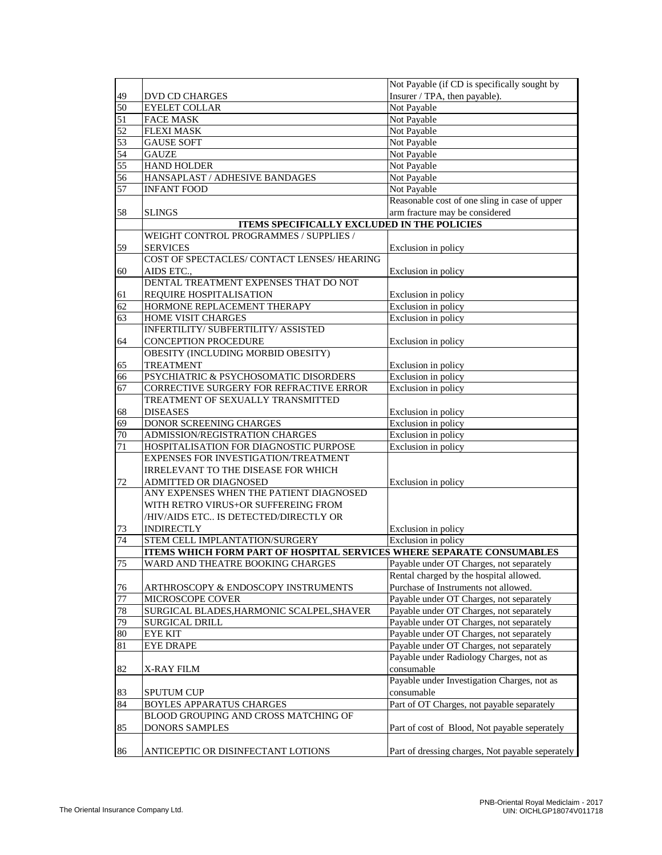|    |                                                                       | Not Payable (if CD is specifically sought by     |
|----|-----------------------------------------------------------------------|--------------------------------------------------|
| 49 | <b>DVD CD CHARGES</b>                                                 | Insurer / TPA, then payable).                    |
| 50 | <b>EYELET COLLAR</b>                                                  | Not Payable                                      |
| 51 | <b>FACE MASK</b>                                                      | Not Payable                                      |
| 52 | <b>FLEXI MASK</b>                                                     | Not Payable                                      |
| 53 | <b>GAUSE SOFT</b>                                                     | Not Payable                                      |
| 54 | <b>GAUZE</b>                                                          | Not Payable                                      |
| 55 | <b>HAND HOLDER</b>                                                    | Not Payable                                      |
| 56 | HANSAPLAST / ADHESIVE BANDAGES                                        | Not Payable                                      |
| 57 | <b>INFANT FOOD</b>                                                    | Not Payable                                      |
|    |                                                                       | Reasonable cost of one sling in case of upper    |
| 58 | <b>SLINGS</b>                                                         | arm fracture may be considered                   |
|    | <b>ITEMS SPECIFICALLY EXCLUDED IN THE POLICIES</b>                    |                                                  |
|    | WEIGHT CONTROL PROGRAMMES / SUPPLIES /                                |                                                  |
|    |                                                                       |                                                  |
| 59 | <b>SERVICES</b>                                                       | Exclusion in policy                              |
|    | COST OF SPECTACLES/ CONTACT LENSES/ HEARING                           |                                                  |
| 60 | AIDS ETC.,                                                            | Exclusion in policy                              |
|    | DENTAL TREATMENT EXPENSES THAT DO NOT                                 |                                                  |
| 61 | <b>REQUIRE HOSPITALISATION</b>                                        | Exclusion in policy                              |
| 62 | HORMONE REPLACEMENT THERAPY                                           | Exclusion in policy                              |
| 63 | HOME VISIT CHARGES                                                    | Exclusion in policy                              |
|    | INFERTILITY/ SUBFERTILITY/ ASSISTED                                   |                                                  |
| 64 | CONCEPTION PROCEDURE                                                  | Exclusion in policy                              |
|    | OBESITY (INCLUDING MORBID OBESITY)                                    |                                                  |
| 65 | <b>TREATMENT</b>                                                      | Exclusion in policy                              |
| 66 | PSYCHIATRIC & PSYCHOSOMATIC DISORDERS                                 | Exclusion in policy                              |
| 67 | CORRECTIVE SURGERY FOR REFRACTIVE ERROR                               | Exclusion in policy                              |
|    | TREATMENT OF SEXUALLY TRANSMITTED                                     |                                                  |
| 68 | <b>DISEASES</b>                                                       | Exclusion in policy                              |
| 69 | DONOR SCREENING CHARGES                                               | Exclusion in policy                              |
| 70 | ADMISSION/REGISTRATION CHARGES                                        | Exclusion in policy                              |
| 71 | HOSPITALISATION FOR DIAGNOSTIC PURPOSE                                | Exclusion in policy                              |
|    | EXPENSES FOR INVESTIGATION/TREATMENT                                  |                                                  |
|    | <b>IRRELEVANT TO THE DISEASE FOR WHICH</b>                            |                                                  |
| 72 | ADMITTED OR DIAGNOSED                                                 | Exclusion in policy                              |
|    | ANY EXPENSES WHEN THE PATIENT DIAGNOSED                               |                                                  |
|    | WITH RETRO VIRUS+OR SUFFEREING FROM                                   |                                                  |
|    | /HIV/AIDS ETC IS DETECTED/DIRECTLY OR                                 |                                                  |
| 73 | <b>INDIRECTLY</b>                                                     | Exclusion in policy                              |
| 74 | STEM CELL IMPLANTATION/SURGERY                                        | Exclusion in policy                              |
|    | ITEMS WHICH FORM PART OF HOSPITAL SERVICES WHERE SEPARATE CONSUMABLES |                                                  |
| 75 | WARD AND THEATRE BOOKING CHARGES                                      | Payable under OT Charges, not separately         |
|    |                                                                       | Rental charged by the hospital allowed.          |
| 76 | ARTHROSCOPY & ENDOSCOPY INSTRUMENTS                                   | Purchase of Instruments not allowed.             |
| 77 | MICROSCOPE COVER                                                      | Payable under OT Charges, not separately         |
| 78 | SURGICAL BLADES, HARMONIC SCALPEL, SHAVER                             | Payable under OT Charges, not separately         |
|    |                                                                       |                                                  |
| 79 | SURGICAL DRILL                                                        | Payable under OT Charges, not separately         |
| 80 | <b>EYE KIT</b>                                                        | Payable under OT Charges, not separately         |
| 81 | <b>EYE DRAPE</b>                                                      | Payable under OT Charges, not separately         |
|    |                                                                       | Payable under Radiology Charges, not as          |
| 82 | <b>X-RAY FILM</b>                                                     | consumable                                       |
|    |                                                                       | Payable under Investigation Charges, not as      |
| 83 | <b>SPUTUM CUP</b>                                                     | consumable                                       |
| 84 | <b>BOYLES APPARATUS CHARGES</b>                                       | Part of OT Charges, not payable separately       |
|    | BLOOD GROUPING AND CROSS MATCHING OF                                  |                                                  |
| 85 | <b>DONORS SAMPLES</b>                                                 | Part of cost of Blood, Not payable seperately    |
|    |                                                                       |                                                  |
| 86 | ANTICEPTIC OR DISINFECTANT LOTIONS                                    | Part of dressing charges, Not payable seperately |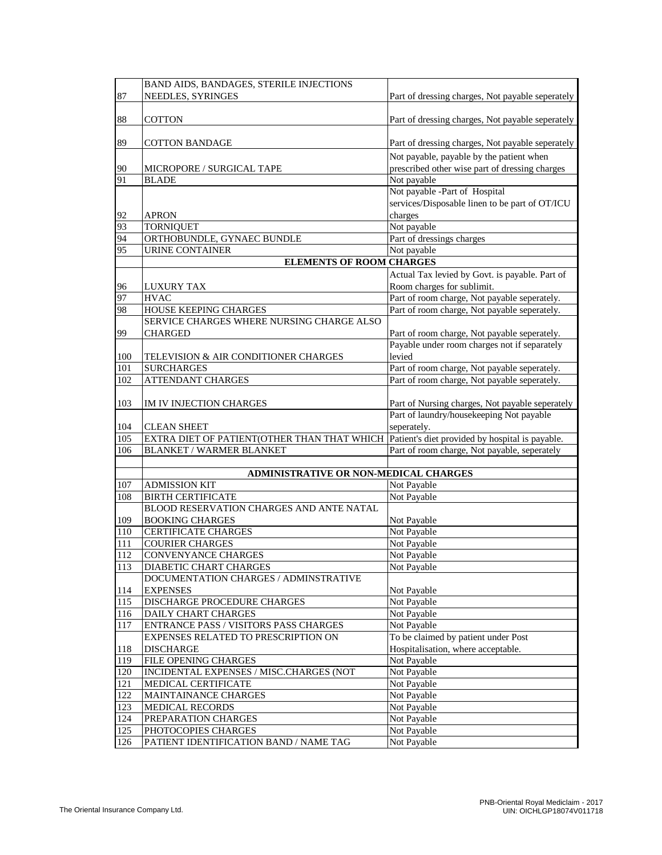|            | BAND AIDS, BANDAGES, STERILE INJECTIONS                   |                                                        |
|------------|-----------------------------------------------------------|--------------------------------------------------------|
| 87         | NEEDLES, SYRINGES                                         | Part of dressing charges, Not payable seperately       |
|            |                                                           |                                                        |
| 88         | <b>COTTON</b>                                             | Part of dressing charges, Not payable seperately       |
|            |                                                           |                                                        |
| 89         | <b>COTTON BANDAGE</b>                                     | Part of dressing charges, Not payable seperately       |
|            |                                                           |                                                        |
|            |                                                           | Not payable, payable by the patient when               |
| 90<br>91   | MICROPORE / SURGICAL TAPE<br><b>BLADE</b>                 | prescribed other wise part of dressing charges         |
|            |                                                           | Not payable<br>Not payable -Part of Hospital           |
|            |                                                           | services/Disposable linen to be part of OT/ICU         |
|            | <b>APRON</b>                                              | charges                                                |
| 92<br>93   | <b>TORNIQUET</b>                                          | Not payable                                            |
| 94         | ORTHOBUNDLE, GYNAEC BUNDLE                                | Part of dressings charges                              |
| 95         | <b>URINE CONTAINER</b>                                    | Not payable                                            |
|            | <b>ELEMENTS OF ROOM CHARGES</b>                           |                                                        |
|            |                                                           |                                                        |
|            |                                                           | Actual Tax levied by Govt. is payable. Part of         |
| 96         | <b>LUXURY TAX</b>                                         | Room charges for sublimit.                             |
| 97         | <b>HVAC</b>                                               | Part of room charge, Not payable seperately.           |
| 98         | HOUSE KEEPING CHARGES                                     | Part of room charge, Not payable seperately.           |
|            | SERVICE CHARGES WHERE NURSING CHARGE ALSO                 |                                                        |
| 99         | <b>CHARGED</b>                                            | Part of room charge, Not payable seperately.           |
|            |                                                           | Payable under room charges not if separately<br>levied |
| 100<br>101 | TELEVISION & AIR CONDITIONER CHARGES<br><b>SURCHARGES</b> | Part of room charge, Not payable seperately.           |
| 102        | <b>ATTENDANT CHARGES</b>                                  | Part of room charge, Not payable seperately.           |
|            |                                                           |                                                        |
| 103        | IM IV INJECTION CHARGES                                   | Part of Nursing charges, Not payable seperately        |
|            |                                                           | Part of laundry/housekeeping Not payable               |
| 104        | <b>CLEAN SHEET</b>                                        | seperately.                                            |
| 105        | EXTRA DIET OF PATIENT(OTHER THAN THAT WHICH               | Patient's diet provided by hospital is payable.        |
| 106        | <b>BLANKET / WARMER BLANKET</b>                           | Part of room charge, Not payable, seperately           |
|            |                                                           |                                                        |
|            | ADMINISTRATIVE OR NON-MEDICAL CHARGES                     |                                                        |
| 107        | <b>ADMISSION KIT</b>                                      | Not Payable                                            |
| 108        | <b>BIRTH CERTIFICATE</b>                                  | Not Payable                                            |
|            | BLOOD RESERVATION CHARGES AND ANTE NATAL                  |                                                        |
| 109        | <b>BOOKING CHARGES</b>                                    | Not Payable                                            |
| 110        | <b>CERTIFICATE CHARGES</b>                                | Not Payable                                            |
| 111        | <b>COURIER CHARGES</b>                                    | Not Payable                                            |
| 112        | CONVENYANCE CHARGES                                       | Not Payable                                            |
| 113        | DIABETIC CHART CHARGES                                    | Not Payable                                            |
|            | DOCUMENTATION CHARGES / ADMINSTRATIVE                     |                                                        |
| 114        | <b>EXPENSES</b>                                           | Not Payable                                            |
| 115        | DISCHARGE PROCEDURE CHARGES                               | Not Payable                                            |
| 116        | <b>DAILY CHART CHARGES</b>                                | Not Payable                                            |
| 117        | ENTRANCE PASS / VISITORS PASS CHARGES                     | Not Payable                                            |
|            | EXPENSES RELATED TO PRESCRIPTION ON                       | To be claimed by patient under Post                    |
| 118        | <b>DISCHARGE</b>                                          | Hospitalisation, where acceptable.                     |
| 119        | FILE OPENING CHARGES                                      | Not Payable                                            |
| 120        | INCIDENTAL EXPENSES / MISC.CHARGES (NOT                   | Not Payable                                            |
| 121        | MEDICAL CERTIFICATE                                       | Not Payable                                            |
| 122        | MAINTAINANCE CHARGES                                      | Not Payable                                            |
| 123        | <b>MEDICAL RECORDS</b>                                    | Not Payable                                            |
| 124        | PREPARATION CHARGES                                       | Not Payable                                            |
| 125        | PHOTOCOPIES CHARGES                                       | Not Payable                                            |
| 126        | PATIENT IDENTIFICATION BAND / NAME TAG                    | Not Payable                                            |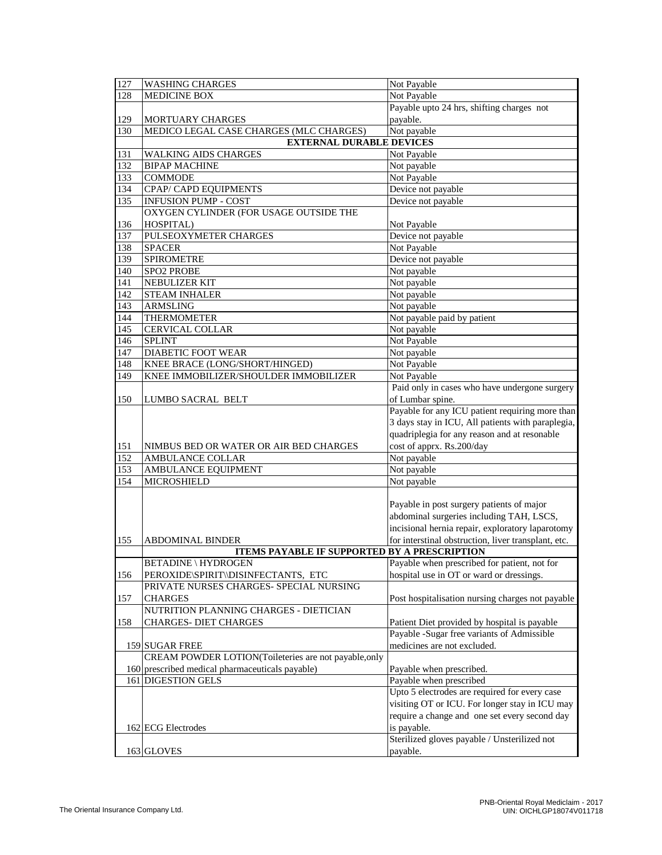| 127              | <b>WASHING CHARGES</b>                                | Not Payable                                         |
|------------------|-------------------------------------------------------|-----------------------------------------------------|
| 128              | <b>MEDICINE BOX</b>                                   | Not Payable                                         |
|                  |                                                       | Payable upto 24 hrs, shifting charges not           |
| 129              | <b>MORTUARY CHARGES</b>                               | payable.                                            |
| 130              | MEDICO LEGAL CASE CHARGES (MLC CHARGES)               | Not payable                                         |
|                  | <b>EXTERNAL DURABLE DEVICES</b>                       |                                                     |
| 131              | <b>WALKING AIDS CHARGES</b>                           | Not Payable                                         |
| 132              | <b>BIPAP MACHINE</b>                                  | Not payable                                         |
| 133              | <b>COMMODE</b>                                        | Not Payable                                         |
| 134              | CPAP/ CAPD EQUIPMENTS                                 | Device not payable                                  |
| 135              | <b>INFUSION PUMP - COST</b>                           | Device not payable                                  |
|                  | OXYGEN CYLINDER (FOR USAGE OUTSIDE THE                |                                                     |
| 136              | HOSPITAL)                                             | Not Payable                                         |
| 137              | PULSEOXYMETER CHARGES                                 | Device not payable                                  |
| 138              | <b>SPACER</b>                                         | Not Payable                                         |
| 139              | <b>SPIROMETRE</b>                                     | Device not payable                                  |
| 140              | SPO2 PROBE                                            | Not payable                                         |
| 141              | NEBULIZER KIT                                         | Not payable                                         |
| $\overline{142}$ | <b>STEAM INHALER</b>                                  | Not payable                                         |
| 143              | <b>ARMSLING</b>                                       | Not payable                                         |
| 144              | <b>THERMOMETER</b>                                    | Not payable paid by patient                         |
| 145              | CERVICAL COLLAR                                       | Not payable                                         |
| 146              | <b>SPLINT</b>                                         | Not Payable                                         |
| $\overline{147}$ | <b>DIABETIC FOOT WEAR</b>                             | Not payable                                         |
| 148              | KNEE BRACE (LONG/SHORT/HINGED)                        | Not Payable                                         |
| 149              | KNEE IMMOBILIZER/SHOULDER IMMOBILIZER                 | Not Payable                                         |
|                  |                                                       | Paid only in cases who have undergone surgery       |
| 150              | <b>LUMBO SACRAL BELT</b>                              | of Lumbar spine.                                    |
|                  |                                                       | Payable for any ICU patient requiring more than     |
|                  |                                                       | 3 days stay in ICU, All patients with paraplegia,   |
|                  |                                                       | quadriplegia for any reason and at resonable        |
| 151              | NIMBUS BED OR WATER OR AIR BED CHARGES                | cost of apprx. Rs.200/day                           |
| 152              | <b>AMBULANCE COLLAR</b>                               | Not payable                                         |
| 153              | AMBULANCE EQUIPMENT                                   | Not payable                                         |
| 154              | <b>MICROSHIELD</b>                                    | Not payable                                         |
|                  |                                                       |                                                     |
|                  |                                                       | Payable in post surgery patients of major           |
|                  |                                                       | abdominal surgeries including TAH, LSCS,            |
|                  |                                                       | incisional hernia repair, exploratory laparotomy    |
| 155              | <b>ABDOMINAL BINDER</b>                               | for interstinal obstruction, liver transplant, etc. |
|                  | <b>ITEMS PAYABLE IF SUPPORTED BY A PRESCRIPTION</b>   |                                                     |
|                  | BETADINE \ HYDROGEN                                   | Payable when prescribed for patient, not for        |
| 156              | PEROXIDE\SPIRIT\\DISINFECTANTS, ETC                   | hospital use in OT or ward or dressings.            |
|                  | PRIVATE NURSES CHARGES- SPECIAL NURSING               |                                                     |
| 157              | <b>CHARGES</b>                                        | Post hospitalisation nursing charges not payable    |
|                  | NUTRITION PLANNING CHARGES - DIETICIAN                |                                                     |
| 158              | <b>CHARGES- DIET CHARGES</b>                          | Patient Diet provided by hospital is payable        |
|                  |                                                       | Payable -Sugar free variants of Admissible          |
|                  | 159 SUGAR FREE                                        | medicines are not excluded.                         |
|                  | CREAM POWDER LOTION(Toileteries are not payable, only |                                                     |
|                  | 160 prescribed medical pharmaceuticals payable)       | Payable when prescribed.                            |
|                  | 161 DIGESTION GELS                                    | Payable when prescribed                             |
|                  |                                                       | Upto 5 electrodes are required for every case       |
|                  |                                                       | visiting OT or ICU. For longer stay in ICU may      |
|                  |                                                       |                                                     |
|                  |                                                       | require a change and one set every second day       |
|                  | 162 ECG Electrodes                                    | is payable.                                         |
|                  |                                                       | Sterilized gloves payable / Unsterilized not        |
|                  | 163 GLOVES                                            | payable.                                            |